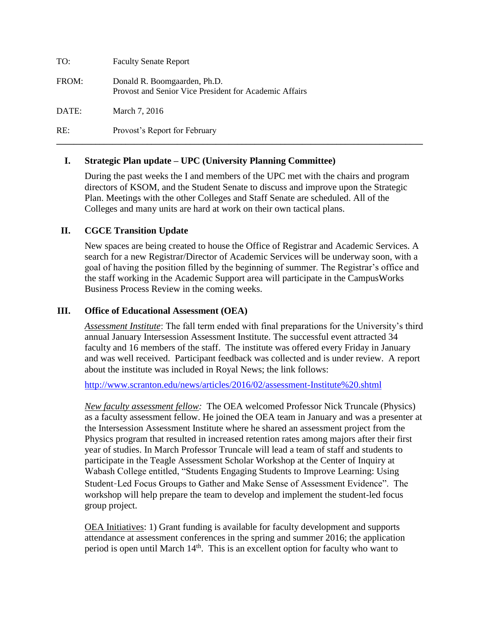| TO:   | <b>Faculty Senate Report</b>                                                           |
|-------|----------------------------------------------------------------------------------------|
| FROM: | Donald R. Boomgaarden, Ph.D.<br>Provost and Senior Vice President for Academic Affairs |
| DATE: | March 7, 2016                                                                          |
| RE:   | Provost's Report for February                                                          |

#### **I. Strategic Plan update – UPC (University Planning Committee)**

During the past weeks the I and members of the UPC met with the chairs and program directors of KSOM, and the Student Senate to discuss and improve upon the Strategic Plan. Meetings with the other Colleges and Staff Senate are scheduled. All of the Colleges and many units are hard at work on their own tactical plans.

**\_\_\_\_\_\_\_\_\_\_\_\_\_\_\_\_\_\_\_\_\_\_\_\_\_\_\_\_\_\_\_\_\_\_\_\_\_\_\_\_\_\_\_\_\_\_\_\_\_\_\_\_\_\_\_\_\_\_\_\_\_\_\_\_\_\_\_\_\_\_\_\_\_\_\_\_\_\_\_\_\_\_\_\_\_**

#### **II. CGCE Transition Update**

New spaces are being created to house the Office of Registrar and Academic Services. A search for a new Registrar/Director of Academic Services will be underway soon, with a goal of having the position filled by the beginning of summer. The Registrar's office and the staff working in the Academic Support area will participate in the CampusWorks Business Process Review in the coming weeks.

#### **III. Office of Educational Assessment (OEA)**

*Assessment Institute*: The fall term ended with final preparations for the University's third annual January Intersession Assessment Institute. The successful event attracted 34 faculty and 16 members of the staff. The institute was offered every Friday in January and was well received. Participant feedback was collected and is under review. A report about the institute was included in Royal News; the link follows:

<http://www.scranton.edu/news/articles/2016/02/assessment-Institute%20.shtml>

*New faculty assessment fellow:* The OEA welcomed Professor Nick Truncale (Physics) as a faculty assessment fellow. He joined the OEA team in January and was a presenter at the Intersession Assessment Institute where he shared an assessment project from the Physics program that resulted in increased retention rates among majors after their first year of studies. In March Professor Truncale will lead a team of staff and students to participate in the Teagle Assessment Scholar Workshop at the Center of Inquiry at Wabash College entitled, "Students Engaging Students to Improve Learning: Using Student‐Led Focus Groups to Gather and Make Sense of Assessment Evidence". The workshop will help prepare the team to develop and implement the student-led focus group project.

OEA Initiatives: 1) Grant funding is available for faculty development and supports attendance at assessment conferences in the spring and summer 2016; the application period is open until March 14<sup>th</sup>. This is an excellent option for faculty who want to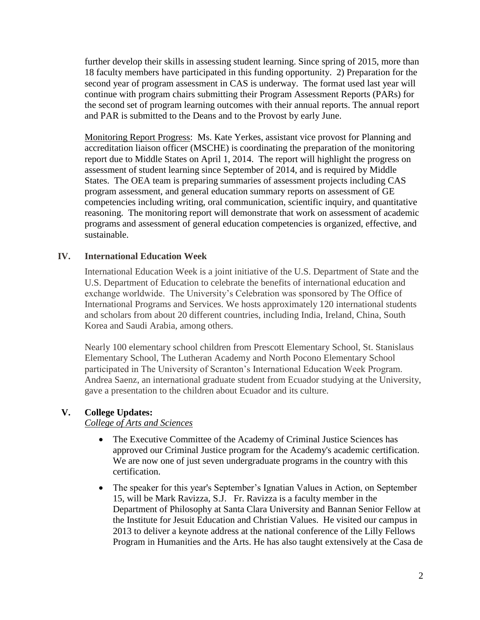further develop their skills in assessing student learning. Since spring of 2015, more than 18 faculty members have participated in this funding opportunity. 2) Preparation for the second year of program assessment in CAS is underway. The format used last year will continue with program chairs submitting their Program Assessment Reports (PARs) for the second set of program learning outcomes with their annual reports. The annual report and PAR is submitted to the Deans and to the Provost by early June.

Monitoring Report Progress: Ms. Kate Yerkes, assistant vice provost for Planning and accreditation liaison officer (MSCHE) is coordinating the preparation of the monitoring report due to Middle States on April 1, 2014. The report will highlight the progress on assessment of student learning since September of 2014, and is required by Middle States. The OEA team is preparing summaries of assessment projects including CAS program assessment, and general education summary reports on assessment of GE competencies including writing, oral communication, scientific inquiry, and quantitative reasoning. The monitoring report will demonstrate that work on assessment of academic programs and assessment of general education competencies is organized, effective, and sustainable.

### **IV. International Education Week**

International Education Week is a joint initiative of the U.S. Department of State and the U.S. Department of Education to celebrate the benefits of international education and exchange worldwide. The University's Celebration was sponsored by The Office of International Programs and Services. We hosts approximately 120 international students and scholars from about 20 different countries, including India, Ireland, China, South Korea and Saudi Arabia, among others.

Nearly 100 elementary school children from Prescott Elementary School, St. Stanislaus Elementary School, The Lutheran Academy and North Pocono Elementary School participated in The University of Scranton's International Education Week Program. Andrea Saenz, an international graduate student from Ecuador studying at the University, gave a presentation to the children about Ecuador and its culture.

#### **V. College Updates:**

#### *College of Arts and Sciences*

- The Executive Committee of the Academy of Criminal Justice Sciences has approved our Criminal Justice program for the Academy's academic certification. We are now one of just seven undergraduate programs in the country with this certification.
- The speaker for this year's September's Ignatian Values in Action, on September 15, will be Mark Ravizza, S.J. Fr. Ravizza is a faculty member in the Department of Philosophy at Santa Clara University and Bannan Senior Fellow at the Institute for Jesuit Education and Christian Values. He visited our campus in 2013 to deliver a keynote address at the national conference of the Lilly Fellows Program in Humanities and the Arts. He has also taught extensively at the Casa de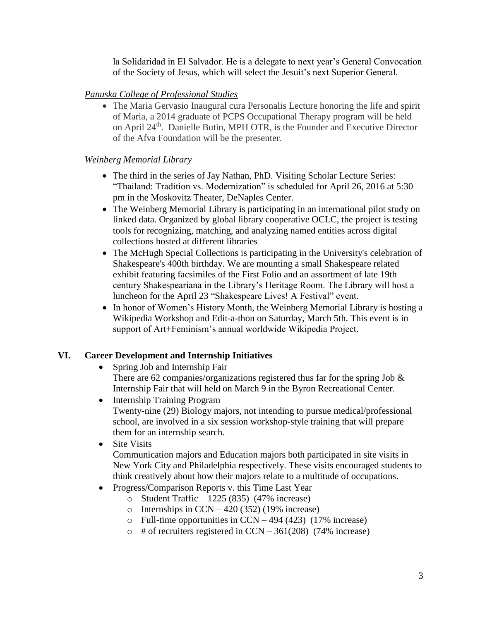la Solidaridad in El Salvador. He is a delegate to next year's General Convocation of the Society of Jesus, which will select the Jesuit's next Superior General.

## *Panuska College of Professional Studies*

 The Maria Gervasio Inaugural cura Personalis Lecture honoring the life and spirit of Maria, a 2014 graduate of PCPS Occupational Therapy program will be held on April 24th. Danielle Butin, MPH OTR, is the Founder and Executive Director of the Afva Foundation will be the presenter.

## *Weinberg Memorial Library*

- The third in the series of Jay Nathan, PhD. Visiting Scholar Lecture Series: "Thailand: Tradition vs. Modernization" is scheduled for April 26, 2016 at 5:30 pm in the Moskovitz Theater, DeNaples Center.
- The Weinberg Memorial Library is participating in an international pilot study on linked data. Organized by global library cooperative OCLC, the project is testing tools for recognizing, matching, and analyzing named entities across digital collections hosted at different libraries
- The McHugh Special Collections is participating in the University's celebration of Shakespeare's 400th birthday. We are mounting a small Shakespeare related exhibit featuring facsimiles of the First Folio and an assortment of late 19th century Shakespeariana in the Library's Heritage Room. The Library will host a luncheon for the April 23 "Shakespeare Lives! A Festival" event.
- In honor of Women's History Month, the Weinberg Memorial Library is hosting a Wikipedia Workshop and Edit-a-thon on Saturday, March 5th. This event is in support of Art+Feminism's annual worldwide Wikipedia Project.

## **VI. Career Development and Internship Initiatives**

- Spring Job and Internship Fair There are 62 companies/organizations registered thus far for the spring Job  $\&$ Internship Fair that will held on March 9 in the Byron Recreational Center.
- Internship Training Program Twenty-nine (29) Biology majors, not intending to pursue medical/professional school, are involved in a six session workshop-style training that will prepare them for an internship search.
- Site Visits Communication majors and Education majors both participated in site visits in New York City and Philadelphia respectively. These visits encouraged students to think creatively about how their majors relate to a multitude of occupations.
- Progress/Comparison Reports v. this Time Last Year
	- o Student Traffic 1225 (835) (47% increase)
	- $\circ$  Internships in CCN 420 (352) (19% increase)
	- o Full-time opportunities in CCN 494 (423) (17% increase)
	- $\circ$  # of recruiters registered in CCN 361(208) (74% increase)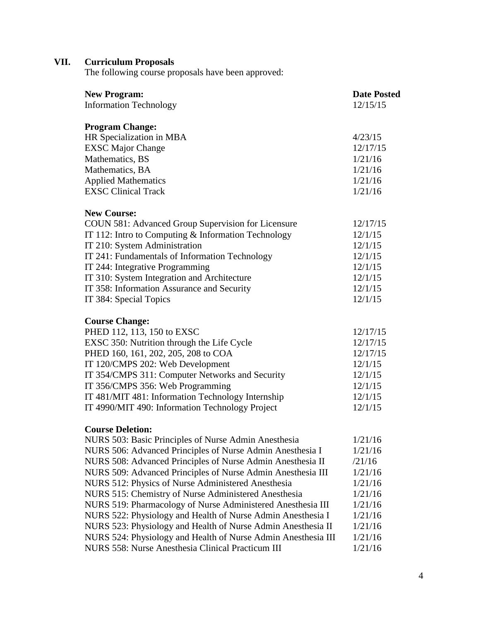# **VII. Curriculum Proposals**

The following course proposals have been approved:

| <b>New Program:</b>                                           | <b>Date Posted</b> |
|---------------------------------------------------------------|--------------------|
| <b>Information Technology</b>                                 | 12/15/15           |
| <b>Program Change:</b>                                        |                    |
| HR Specialization in MBA                                      | 4/23/15            |
| <b>EXSC Major Change</b>                                      | 12/17/15           |
| Mathematics, BS                                               | 1/21/16            |
| Mathematics, BA                                               | 1/21/16            |
| <b>Applied Mathematics</b>                                    | 1/21/16            |
| <b>EXSC Clinical Track</b>                                    | 1/21/16            |
| <b>New Course:</b>                                            |                    |
| COUN 581: Advanced Group Supervision for Licensure            | 12/17/15           |
| IT 112: Intro to Computing & Information Technology           | 12/1/15            |
| IT 210: System Administration                                 | 12/1/15            |
| IT 241: Fundamentals of Information Technology                | 12/1/15            |
| IT 244: Integrative Programming                               | 12/1/15            |
| IT 310: System Integration and Architecture                   | 12/1/15            |
| IT 358: Information Assurance and Security                    | 12/1/15            |
| IT 384: Special Topics                                        | 12/1/15            |
| <b>Course Change:</b>                                         |                    |
| PHED 112, 113, 150 to EXSC                                    | 12/17/15           |
| EXSC 350: Nutrition through the Life Cycle                    | 12/17/15           |
| PHED 160, 161, 202, 205, 208 to COA                           | 12/17/15           |
| IT 120/CMPS 202: Web Development                              | 12/1/15            |
| IT 354/CMPS 311: Computer Networks and Security               | 12/1/15            |
| IT 356/CMPS 356: Web Programming                              | 12/1/15            |
| IT 481/MIT 481: Information Technology Internship             | 12/1/15            |
| IT 4990/MIT 490: Information Technology Project               | 12/1/15            |
| <b>Course Deletion:</b>                                       |                    |
| NURS 503: Basic Principles of Nurse Admin Anesthesia          | 1/21/16            |
| NURS 506: Advanced Principles of Nurse Admin Anesthesia I     | 1/21/16            |
| NURS 508: Advanced Principles of Nurse Admin Anesthesia II    | /21/16             |
| NURS 509: Advanced Principles of Nurse Admin Anesthesia III   | 1/21/16            |
| NURS 512: Physics of Nurse Administered Anesthesia            | 1/21/16            |
| NURS 515: Chemistry of Nurse Administered Anesthesia          | 1/21/16            |
| NURS 519: Pharmacology of Nurse Administered Anesthesia III   | 1/21/16            |
| NURS 522: Physiology and Health of Nurse Admin Anesthesia I   | 1/21/16            |
| NURS 523: Physiology and Health of Nurse Admin Anesthesia II  | 1/21/16            |
| NURS 524: Physiology and Health of Nurse Admin Anesthesia III | 1/21/16            |

NURS 558: Nurse Anesthesia Clinical Practicum III 1/21/16